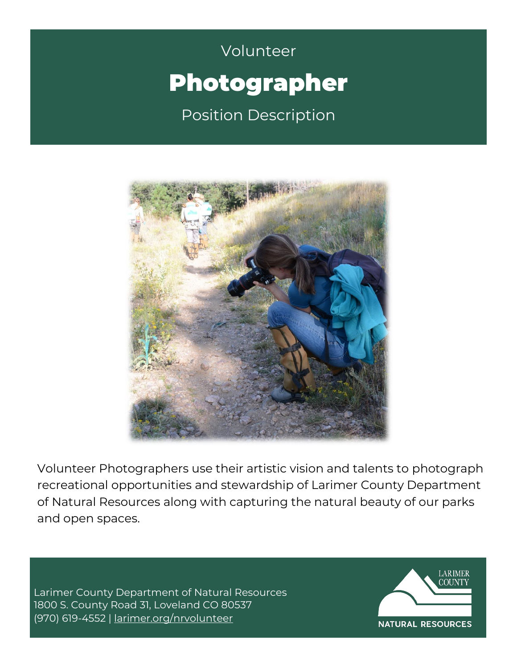# Volunteer Volunteer Photographer Position Description



Volunteer Photographers use their artistic vision and talents to photograph recreational opportunities and stewardship of Larimer County Department of Natural Resources along with capturing the natural beauty of our parks and open spaces.

Larimer County Department of Natural Resources 1800 S. County Road 31, Loveland CO 80537 (970) 619-4552 | [larimer.org/nrvolunteer](http://www.larimer.org/nrvolunteer)

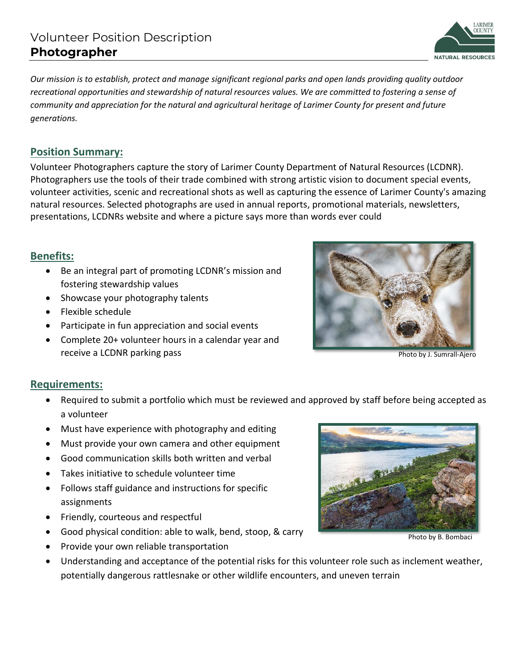ARIMER **NATURAL RESOURCES** 

*Our mission is to establish, protect and manage significant regional parks and open lands providing quality outdoor recreational opportunities and stewardship of natural resources values. We are committed to fostering a sense of community and appreciation for the natural and agricultural heritage of Larimer County for present and future generations.* 

### **Position Summary:**

Volunteer Photographers capture the story of Larimer County Department of Natural Resources (LCDNR). Photographers use the tools of their trade combined with strong artistic vision to document special events, volunteer activities, scenic and recreational shots as well as capturing the essence of Larimer County's amazing natural resources. Selected photographs are used in annual reports, promotional materials, newsletters, presentations, LCDNRs website and where a picture says more than words ever could

#### **Benefits:**

- Be an integral part of promoting LCDNR's mission and fostering stewardship values
- Showcase your photography talents
- Flexible schedule
- Participate in fun appreciation and social events
- Complete 20+ volunteer hours in a calendar year and receive a LCDNR parking pass



Photo by J. Sumrall-Ajero

#### **Requirements:**

- Required to submit a portfolio which must be reviewed and approved by staff before being accepted as a volunteer
- Must have experience with photography and editing
- Must provide your own camera and other equipment
- Good communication skills both written and verbal
- Takes initiative to schedule volunteer time
- Follows staff guidance and instructions for specific assignments
- Friendly, courteous and respectful
- Good physical condition: able to walk, bend, stoop, & carry
- Provide your own reliable transportation

Photo by B. Bombaci

• Understanding and acceptance of the potential risks for this volunteer role such as inclement weather, potentially dangerous rattlesnake or other wildlife encounters, and uneven terrain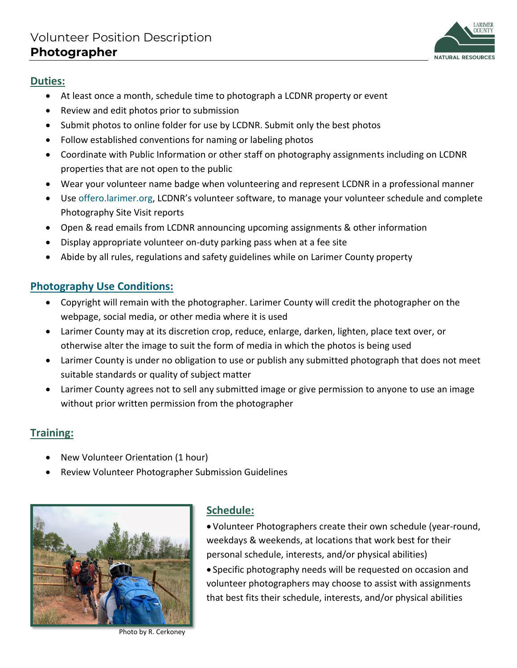

#### **Duties:**

- At least once a month, schedule time to photograph a LCDNR property or event
- Review and edit photos prior to submission
- Submit photos to online folder for use by LCDNR. Submit only the best photos
- Follow established conventions for naming or labeling photos
- Coordinate with Public Information or other staff on photography assignments including on LCDNR properties that are not open to the public
- Wear your volunteer name badge when volunteering and represent LCDNR in a professional manner
- Use offero.larimer.org, LCDNR's volunteer software, to manage your volunteer schedule and complete Photography Site Visit reports
- Open & read emails from LCDNR announcing upcoming assignments & other information
- Display appropriate volunteer on-duty parking pass when at a fee site
- Abide by all rules, regulations and safety guidelines while on Larimer County property

#### **Photography Use Conditions:**

- Copyright will remain with the photographer. Larimer County will credit the photographer on the webpage, social media, or other media where it is used
- Larimer County may at its discretion crop, reduce, enlarge, darken, lighten, place text over, or otherwise alter the image to suit the form of media in which the photos is being used
- Larimer County is under no obligation to use or publish any submitted photograph that does not meet suitable standards or quality of subject matter
- Larimer County agrees not to sell any submitted image or give permission to anyone to use an image without prior written permission from the photographer

#### **Training:**

- New Volunteer Orientation (1 hour)
- Review Volunteer Photographer Submission Guidelines



Photo by R. Cerkoney

#### **Schedule:**

• Volunteer Photographers create their own schedule (year-round, weekdays & weekends, at locations that work best for their personal schedule, interests, and/or physical abilities) • Specific photography needs will be requested on occasion and volunteer photographers may choose to assist with assignments that best fits their schedule, interests, and/or physical abilities